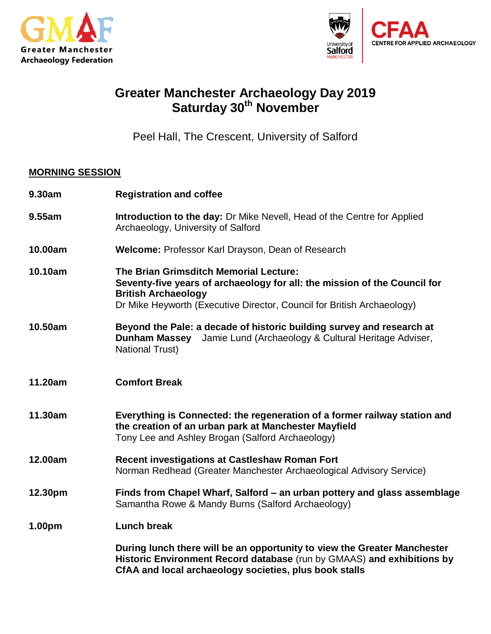



## **Greater Manchester Archaeology Day 2019 Saturday 30th November**

Peel Hall, The Crescent, University of Salford

## **MORNING SESSION**

| 9.30am  | <b>Registration and coffee</b>                                                                                                                                                                                              |
|---------|-----------------------------------------------------------------------------------------------------------------------------------------------------------------------------------------------------------------------------|
| 9.55am  | Introduction to the day: Dr Mike Nevell, Head of the Centre for Applied<br>Archaeology, University of Salford                                                                                                               |
| 10.00am | Welcome: Professor Karl Drayson, Dean of Research                                                                                                                                                                           |
| 10.10am | The Brian Grimsditch Memorial Lecture:<br>Seventy-five years of archaeology for all: the mission of the Council for<br><b>British Archaeology</b><br>Dr Mike Heyworth (Executive Director, Council for British Archaeology) |
| 10.50am | Beyond the Pale: a decade of historic building survey and research at<br>Jamie Lund (Archaeology & Cultural Heritage Adviser,<br><b>Dunham Massey</b><br><b>National Trust)</b>                                             |
| 11.20am | <b>Comfort Break</b>                                                                                                                                                                                                        |
| 11.30am | Everything is Connected: the regeneration of a former railway station and<br>the creation of an urban park at Manchester Mayfield<br>Tony Lee and Ashley Brogan (Salford Archaeology)                                       |
| 12.00am | <b>Recent investigations at Castleshaw Roman Fort</b><br>Norman Redhead (Greater Manchester Archaeological Advisory Service)                                                                                                |
| 12.30pm | Finds from Chapel Wharf, Salford – an urban pottery and glass assemblage<br>Samantha Rowe & Mandy Burns (Salford Archaeology)                                                                                               |
| 1.00pm  | <b>Lunch break</b>                                                                                                                                                                                                          |
|         | During lunch there will be an opportunity to view the Greater Manchester<br>Historic Environment Record database (run by GMAAS) and exhibitions by<br>CfAA and local archaeology societies, plus book stalls                |